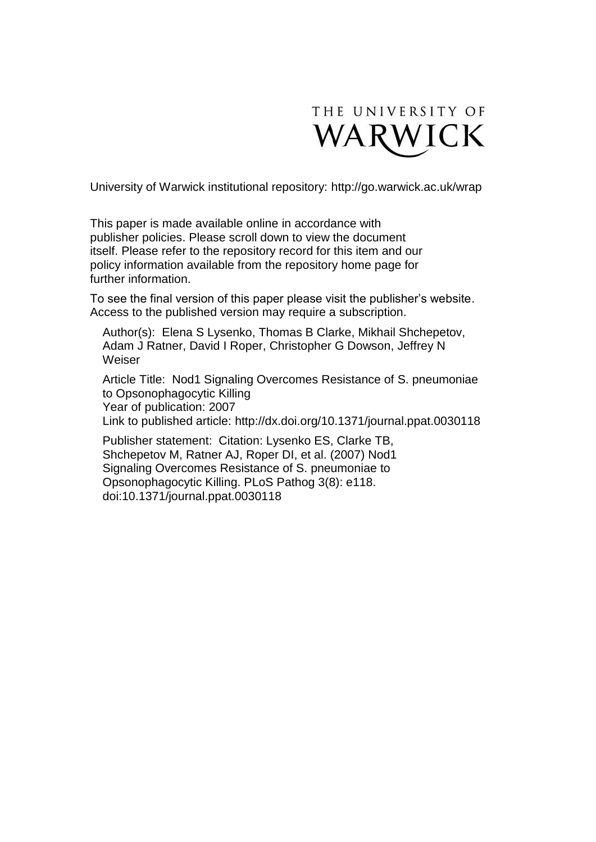

University of Warwick institutional repository:<http://go.warwick.ac.uk/wrap>

This paper is made available online in accordance with publisher policies. Please scroll down to view the document itself. Please refer to the repository record for this item and our policy information available from the repository home page for further information.

To see the final version of this paper please visit the publisher's website. Access to the published version may require a subscription.

Author(s): Elena S Lysenko, Thomas B Clarke, Mikhail Shchepetov, Adam J Ratner, David I Roper, Christopher G Dowson, Jeffrey N Weiser

Article Title: Nod1 Signaling Overcomes Resistance of S. pneumoniae to Opsonophagocytic Killing Year of publication: 2007 Link to published article: http://dx.doi.org/10.1371/journal.ppat.0030118

Publisher statement: Citation: Lysenko ES, Clarke TB, Shchepetov M, Ratner AJ, Roper DI, et al. (2007) Nod1 Signaling Overcomes Resistance of S. pneumoniae to Opsonophagocytic Killing. PLoS Pathog 3(8): e118. doi:10.1371/journal.ppat.0030118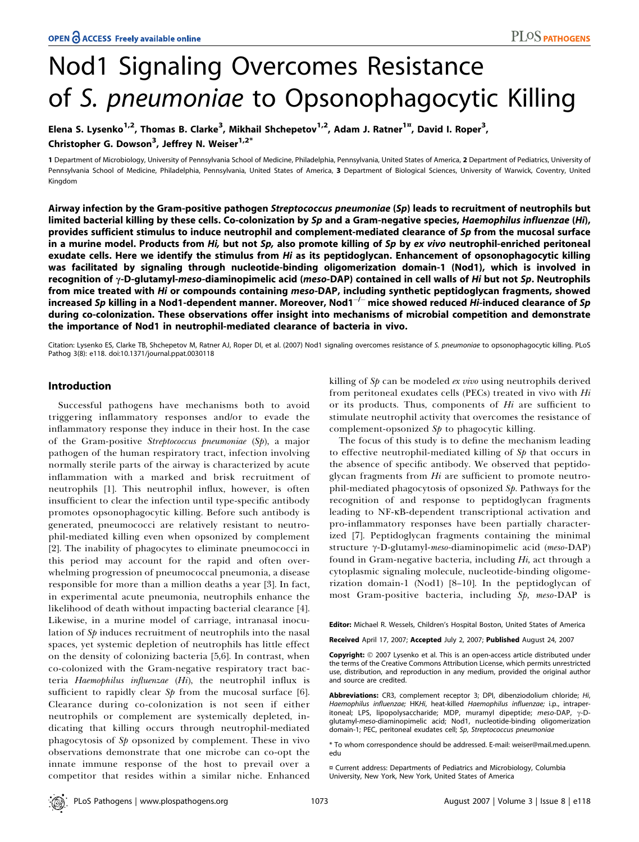# Nod1 Signaling Overcomes Resistance of S. pneumoniae to Opsonophagocytic Killing

Elena S. Lysenko<sup>1,2</sup>, Thomas B. Clarke<sup>3</sup>, Mikhail Shchepetov<sup>1,2</sup>, Adam J. Ratner<sup>1¤</sup>, David I. Roper<sup>3</sup>, Christopher G. Dowson<sup>3</sup>, Jeffrey N. Weiser<sup>1,2\*</sup>

1 Department of Microbiology, University of Pennsylvania School of Medicine, Philadelphia, Pennsylvania, United States of America, 2 Department of Pediatrics, University of Pennsylvania School of Medicine, Philadelphia, Pennsylvania, United States of America, 3 Department of Biological Sciences, University of Warwick, Coventry, United Kingdom

Airway infection by the Gram-positive pathogen Streptococcus pneumoniae (Sp) leads to recruitment of neutrophils but limited bacterial killing by these cells. Co-colonization by Sp and a Gram-negative species, Haemophilus influenzae (Hi), provides sufficient stimulus to induce neutrophil and complement-mediated clearance of Sp from the mucosal surface in a murine model. Products from Hi, but not Sp, also promote killing of Sp by ex vivo neutrophil-enriched peritoneal exudate cells. Here we identify the stimulus from Hi as its peptidoglycan. Enhancement of opsonophagocytic killing was facilitated by signaling through nucleotide-binding oligomerization domain-1 (Nod1), which is involved in recognition of  $\gamma$ -D-glutamyl-meso-diaminopimelic acid (meso-DAP) contained in cell walls of Hi but not Sp. Neutrophils from mice treated with Hi or compounds containing meso-DAP, including synthetic peptidoglycan fragments, showed increased *Sp* killing in a Nod1-dependent manner. Moreover, Nod1<sup>-/-</sup> mice showed reduced Hi-induced clearance of *Sp* during co-colonization. These observations offer insight into mechanisms of microbial competition and demonstrate the importance of Nod1 in neutrophil-mediated clearance of bacteria in vivo.

Citation: Lysenko ES, Clarke TB, Shchepetov M, Ratner AJ, Roper DI, et al. (2007) Nod1 signaling overcomes resistance of S. pneumoniae to opsonophagocytic killing. PLoS Pathog 3(8): e118. doi:10.1371/journal.ppat.0030118

#### Introduction

Successful pathogens have mechanisms both to avoid triggering inflammatory responses and/or to evade the inflammatory response they induce in their host. In the case of the Gram-positive Streptococcus pneumoniae (Sp), a major pathogen of the human respiratory tract, infection involving normally sterile parts of the airway is characterized by acute inflammation with a marked and brisk recruitment of neutrophils [1]. This neutrophil influx, however, is often insufficient to clear the infection until type-specific antibody promotes opsonophagocytic killing. Before such antibody is generated, pneumococci are relatively resistant to neutrophil-mediated killing even when opsonized by complement [2]. The inability of phagocytes to eliminate pneumococci in this period may account for the rapid and often overwhelming progression of pneumococcal pneumonia, a disease responsible for more than a million deaths a year [3]. In fact, in experimental acute pneumonia, neutrophils enhance the likelihood of death without impacting bacterial clearance [4]. Likewise, in a murine model of carriage, intranasal inoculation of Sp induces recruitment of neutrophils into the nasal spaces, yet systemic depletion of neutrophils has little effect on the density of colonizing bacteria [5,6]. In contrast, when co-colonized with the Gram-negative respiratory tract bacteria Haemophilus influenzae (Hi), the neutrophil influx is sufficient to rapidly clear  $Sp$  from the mucosal surface [6]. Clearance during co-colonization is not seen if either neutrophils or complement are systemically depleted, indicating that killing occurs through neutrophil-mediated phagocytosis of Sp opsonized by complement. These in vivo observations demonstrate that one microbe can co-opt the innate immune response of the host to prevail over a competitor that resides within a similar niche. Enhanced

killing of  $S_p$  can be modeled *ex vivo* using neutrophils derived from peritoneal exudates cells (PECs) treated in vivo with Hi or its products. Thus, components of  $Hi$  are sufficient to stimulate neutrophil activity that overcomes the resistance of complement-opsonized  $S_p$  to phagocytic killing.

The focus of this study is to define the mechanism leading to effective neutrophil-mediated killing of  $Sp$  that occurs in the absence of specific antibody. We observed that peptidoglycan fragments from  $Hi$  are sufficient to promote neutrophil-mediated phagocytosis of opsonized Sp. Pathways for the recognition of and response to peptidoglycan fragments leading to NF-KB-dependent transcriptional activation and pro-inflammatory responses have been partially characterized [7]. Peptidoglycan fragments containing the minimal structure γ-D-glutamyl-meso-diaminopimelic acid (meso-DAP) found in Gram-negative bacteria, including  $Hi$ , act through a cytoplasmic signaling molecule, nucleotide-binding oligomerization domain-1 (Nod1) [8–10]. In the peptidoglycan of most Gram-positive bacteria, including Sp, meso-DAP is

Editor: Michael R. Wessels, Children's Hospital Boston, United States of America

Received April 17, 2007; Accepted July 2, 2007; Published August 24, 2007

Copyright: © 2007 Lysenko et al. This is an open-access article distributed under the terms of the Creative Commons Attribution License, which permits unrestricted use, distribution, and reproduction in any medium, provided the original author and source are credited.

Abbreviations: CR3, complement receptor 3; DPI, dibenziodolium chloride; Hi, Haemophilus influenzae; HKHi, heat-killed Haemophilus influenzae; i.p., intraperitoneal; LPS, lipopolysaccharide; MDP, muramyl dipeptide; meso-DAP,  $\gamma$ -Dglutamyl-meso-diaminopimelic acid; Nod1, nucleotide-binding oligomerization domain-1; PEC, peritoneal exudates cell; Sp, Streptococcus pneumoniae

\* To whom correspondence should be addressed. E-mail: weiser@mail.med.upenn. edu

¤ Current address: Departments of Pediatrics and Microbiology, Columbia University, New York, New York, United States of America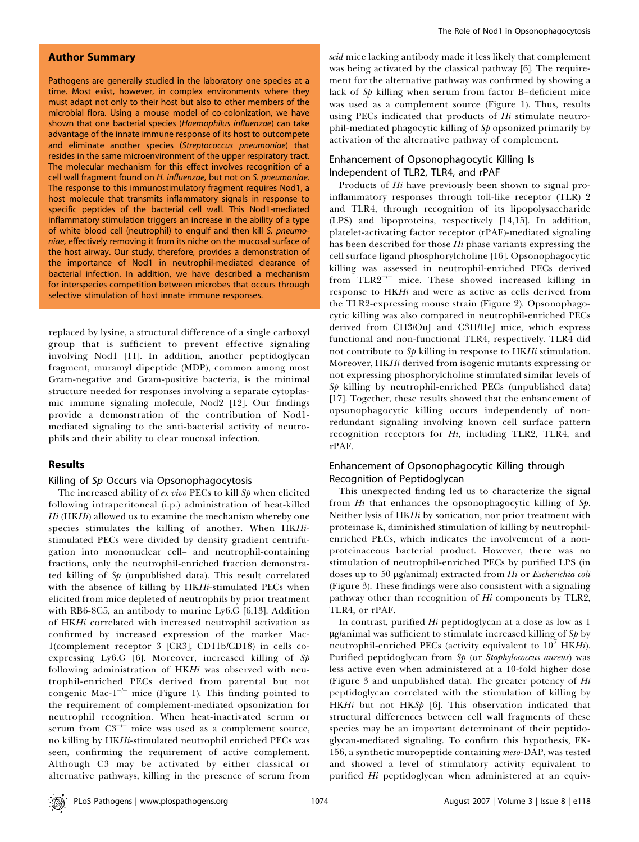#### Author Summary

Pathogens are generally studied in the laboratory one species at a time. Most exist, however, in complex environments where they must adapt not only to their host but also to other members of the microbial flora. Using a mouse model of co-colonization, we have shown that one bacterial species (Haemophilus influenzae) can take advantage of the innate immune response of its host to outcompete and eliminate another species (Streptococcus pneumoniae) that resides in the same microenvironment of the upper respiratory tract. The molecular mechanism for this effect involves recognition of a cell wall fragment found on H. influenzae, but not on S. pneumoniae. The response to this immunostimulatory fragment requires Nod1, a host molecule that transmits inflammatory signals in response to specific peptides of the bacterial cell wall. This Nod1-mediated inflammatory stimulation triggers an increase in the ability of a type of white blood cell (neutrophil) to engulf and then kill S. pneumoniae, effectively removing it from its niche on the mucosal surface of the host airway. Our study, therefore, provides a demonstration of the importance of Nod1 in neutrophil-mediated clearance of bacterial infection. In addition, we have described a mechanism for interspecies competition between microbes that occurs through selective stimulation of host innate immune responses.

replaced by lysine, a structural difference of a single carboxyl group that is sufficient to prevent effective signaling involving Nod1 [11]. In addition, another peptidoglycan fragment, muramyl dipeptide (MDP), common among most Gram-negative and Gram-positive bacteria, is the minimal structure needed for responses involving a separate cytoplasmic immune signaling molecule, Nod2 [12]. Our findings provide a demonstration of the contribution of Nod1 mediated signaling to the anti-bacterial activity of neutrophils and their ability to clear mucosal infection.

#### Results

#### Killing of Sp Occurs via Opsonophagocytosis

The increased ability of  $ex$  vivo PECs to kill  $Sp$  when elicited following intraperitoneal (i.p.) administration of heat-killed  $Hi$  (HK $Hi$ ) allowed us to examine the mechanism whereby one species stimulates the killing of another. When HKHistimulated PECs were divided by density gradient centrifugation into mononuclear cell– and neutrophil-containing fractions, only the neutrophil-enriched fraction demonstrated killing of  $Sp$  (unpublished data). This result correlated with the absence of killing by HKHi-stimulated PECs when elicited from mice depleted of neutrophils by prior treatment with RB6-8C5, an antibody to murine Ly6.G [6,13]. Addition of HKHi correlated with increased neutrophil activation as confirmed by increased expression of the marker Mac-1(complement receptor 3 [CR3], CD11b/CD18) in cells coexpressing Ly6.G [6]. Moreover, increased killing of Sp following administration of HKHi was observed with neutrophil-enriched PECs derived from parental but not congenic Mac- $1^{-/-}$  mice (Figure 1). This finding pointed to the requirement of complement-mediated opsonization for neutrophil recognition. When heat-inactivated serum or serum from  $C3^{-\frac{1}{r}}$  mice was used as a complement source, no killing by HKHi-stimulated neutrophil enriched PECs was seen, confirming the requirement of active complement. Although C3 may be activated by either classical or alternative pathways, killing in the presence of serum from scid mice lacking antibody made it less likely that complement was being activated by the classical pathway [6]. The requirement for the alternative pathway was confirmed by showing a lack of Sp killing when serum from factor B–deficient mice was used as a complement source (Figure 1). Thus, results using PECs indicated that products of Hi stimulate neutrophil-mediated phagocytic killing of  $Sp$  opsonized primarily by activation of the alternative pathway of complement.

### Enhancement of Opsonophagocytic Killing Is Independent of TLR2, TLR4, and rPAF

Products of Hi have previously been shown to signal proinflammatory responses through toll-like receptor (TLR) 2 and TLR4, through recognition of its lipopolysaccharide (LPS) and lipoproteins, respectively [14,15]. In addition, platelet-activating factor receptor (rPAF)-mediated signaling has been described for those Hi phase variants expressing the cell surface ligand phosphorylcholine [16]. Opsonophagocytic killing was assessed in neutrophil-enriched PECs derived from TLR2<sup>-/-</sup> mice. These showed increased killing in response to HKHi and were as active as cells derived from the TLR2-expressing mouse strain (Figure 2). Opsonophagocytic killing was also compared in neutrophil-enriched PECs derived from CH3/OuJ and C3H/HeJ mice, which express functional and non-functional TLR4, respectively. TLR4 did not contribute to  $Sp$  killing in response to HKHi stimulation. Moreover, HKHi derived from isogenic mutants expressing or not expressing phosphorylcholine stimulated similar levels of  $Sp$  killing by neutrophil-enriched PECs (unpublished data) [17]. Together, these results showed that the enhancement of opsonophagocytic killing occurs independently of nonredundant signaling involving known cell surface pattern recognition receptors for Hi, including TLR2, TLR4, and rPAF.

# Enhancement of Opsonophagocytic Killing through Recognition of Peptidoglycan

This unexpected finding led us to characterize the signal from Hi that enhances the opsonophagocytic killing of Sp. Neither lysis of HKHi by sonication, nor prior treatment with proteinase K, diminished stimulation of killing by neutrophilenriched PECs, which indicates the involvement of a nonproteinaceous bacterial product. However, there was no stimulation of neutrophil-enriched PECs by purified LPS (in doses up to 50 µg/animal) extracted from Hi or Escherichia coli (Figure 3). These findings were also consistent with a signaling pathway other than recognition of Hi components by TLR2, TLR4, or rPAF.

In contrast, purified Hi peptidoglycan at a dose as low as 1  $\mu$ g/animal was sufficient to stimulate increased killing of S $p$  by neutrophil-enriched PECs (activity equivalent to  $10<sup>7</sup>$  HKHi). Purified peptidoglycan from Sp (or Staphylococcus aureus) was less active even when administered at a 10-fold higher dose (Figure 3 and unpublished data). The greater potency of  $Hi$ peptidoglycan correlated with the stimulation of killing by HKHi but not HKSp [6]. This observation indicated that structural differences between cell wall fragments of these species may be an important determinant of their peptidoglycan-mediated signaling. To confirm this hypothesis, FK-156, a synthetic muropeptide containing meso-DAP, was tested and showed a level of stimulatory activity equivalent to purified Hi peptidoglycan when administered at an equiv-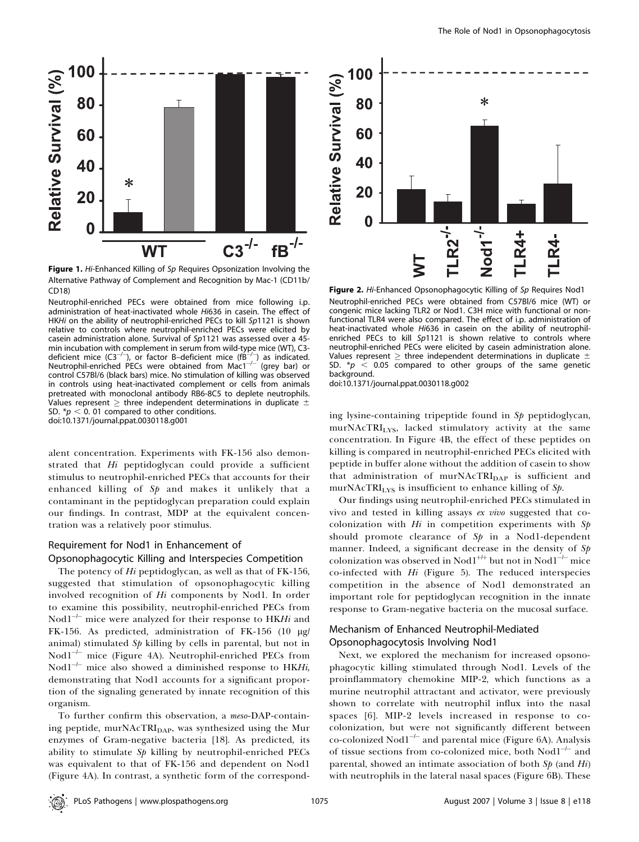

Figure 1. Hi-Enhanced Killing of Sp Requires Opsonization Involving the Alternative Pathway of Complement and Recognition by Mac-1 (CD11b/ CD18)

Neutrophil-enriched PECs were obtained from mice following i.p. administration of heat-inactivated whole Hi636 in casein. The effect of HKHi on the ability of neutrophil-enriched PECs to kill Sp1121 is shown relative to controls where neutrophil-enriched PECs were elicited by casein administration alone. Survival of Sp1121 was assessed over a 45 min incubation with complement in serum from wild-type mice (WT), C3 deficient mice  $(C3^{-/-})$ , or factor B-deficient mice (fB- $($ ) as indicated. Neutrophil-enriched PECs were obtained from Mac1<sup>-/-</sup> (grey bar) or control C57Bl/6 (black bars) mice. No stimulation of killing was observed in controls using heat-inactivated complement or cells from animals pretreated with monoclonal antibody RB6-8C5 to deplete neutrophils. Values represent  $\geq$  three independent determinations in duplicate  $\pm$ SD.  $p < 0$ . 01 compared to other conditions.

doi:10.1371/journal.ppat.0030118.g001

alent concentration. Experiments with FK-156 also demonstrated that Hi peptidoglycan could provide a sufficient stimulus to neutrophil-enriched PECs that accounts for their enhanced killing of  $Sp$  and makes it unlikely that a contaminant in the peptidoglycan preparation could explain our findings. In contrast, MDP at the equivalent concentration was a relatively poor stimulus.

# Requirement for Nod1 in Enhancement of

Opsonophagocytic Killing and Interspecies Competition

The potency of Hi peptidoglycan, as well as that of FK-156, suggested that stimulation of opsonophagocytic killing involved recognition of Hi components by Nod1. In order to examine this possibility, neutrophil-enriched PECs from Nod $1^{-/-}$  mice were analyzed for their response to HKHi and FK-156. As predicted, administration of FK-156 (10 µg/ animal) stimulated  $Sp$  killing by cells in parental, but not in Nod $1^{-/-}$  mice (Figure 4A). Neutrophil-enriched PECs from Nod $1^{-/-}$  mice also showed a diminished response to HKHi, demonstrating that Nod1 accounts for a significant proportion of the signaling generated by innate recognition of this organism.

To further confirm this observation, a meso-DAP-containing peptide, murNAcTRI<sub>DAP</sub>, was synthesized using the Mur enzymes of Gram-negative bacteria [18]. As predicted, its ability to stimulate  $S_p$  killing by neutrophil-enriched PECs was equivalent to that of FK-156 and dependent on Nod1 (Figure 4A). In contrast, a synthetic form of the correspond-



Figure 2. Hi-Enhanced Opsonophagocytic Killing of Sp Requires Nod1 Neutrophil-enriched PECs were obtained from C57Bl/6 mice (WT) or congenic mice lacking TLR2 or Nod1. C3H mice with functional or nonfunctional TLR4 were also compared. The effect of i.p. administration of heat-inactivated whole Hi636 in casein on the ability of neutrophilenriched PECs to kill Sp1121 is shown relative to controls where neutrophil-enriched PECs were elicited by casein administration alone. Values represent  $\geq$  three independent determinations in duplicate  $\pm$ SD.  $p > 0.05$  compared to other groups of the same genetic background.

doi:10.1371/journal.ppat.0030118.g002

ing lysine-containing tripeptide found in Sp peptidoglycan, murNAcTRILYS, lacked stimulatory activity at the same concentration. In Figure 4B, the effect of these peptides on killing is compared in neutrophil-enriched PECs elicited with peptide in buffer alone without the addition of casein to show that administration of murNAcTRI<sub>DAP</sub> is sufficient and murNAcTRI $_{LYS}$  is insufficient to enhance killing of Sp.

Our findings using neutrophil-enriched PECs stimulated in vivo and tested in killing assays ex vivo suggested that cocolonization with  $Hi$  in competition experiments with  $Sp$ should promote clearance of  $Sp$  in a Nod1-dependent manner. Indeed, a significant decrease in the density of Sp colonization was observed in Nod $1^{+\!+}$  but not in Nod $1^{-\!+\!-}$  mice co-infected with  $Hi$  (Figure 5). The reduced interspecies competition in the absence of Nod1 demonstrated an important role for peptidoglycan recognition in the innate response to Gram-negative bacteria on the mucosal surface.

#### Mechanism of Enhanced Neutrophil-Mediated Opsonophagocytosis Involving Nod1

Next, we explored the mechanism for increased opsonophagocytic killing stimulated through Nod1. Levels of the proinflammatory chemokine MIP-2, which functions as a murine neutrophil attractant and activator, were previously shown to correlate with neutrophil influx into the nasal spaces [6]. MIP-2 levels increased in response to cocolonization, but were not significantly different between co-colonized Nod1<sup>-1-</sup> and parental mice (Figure 6A). Analysis of tissue sections from co-colonized mice, both Nod1<sup>-1-</sup> and parental, showed an intimate association of both  $Sp$  (and  $Hi$ ) with neutrophils in the lateral nasal spaces (Figure 6B). These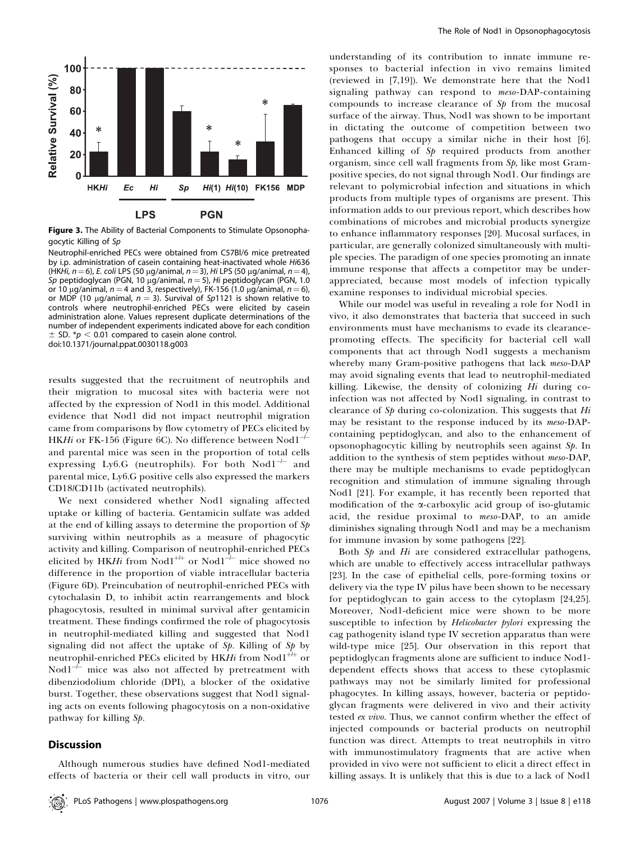

Figure 3. The Ability of Bacterial Components to Stimulate Opsonophagocytic Killing of Sp

Neutrophil-enriched PECs were obtained from C57Bl/6 mice pretreated by i.p. administration of casein containing heat-inactivated whole Hi636 (HKHi,  $n=6$ ), E. coli LPS (50 µg/animal,  $n=3$ ), Hi LPS (50 µg/animal,  $n=4$ ), Sp peptidoglycan (PGN, 10 µg/animal,  $n = 5$ ), Hi peptidoglycan (PGN, 1.0 or 10 µg/animal,  $n = 4$  and 3, respectively), FK-156 (1.0 µg/animal,  $n = 6$ ), or MDP (10 µg/animal,  $n = 3$ ). Survival of Sp1121 is shown relative to controls where neutrophil-enriched PECs were elicited by casein administration alone. Values represent duplicate determinations of the number of independent experiments indicated above for each condition  $\pm$  SD. \*p  $<$  0.01 compared to casein alone control. doi:10.1371/journal.ppat.0030118.g003

results suggested that the recruitment of neutrophils and their migration to mucosal sites with bacteria were not affected by the expression of Nod1 in this model. Additional evidence that Nod1 did not impact neutrophil migration came from comparisons by flow cytometry of PECs elicited by HK*Hi* or FK-156 (Figure 6C). No difference between  $\mathrm{Nod1}^{\mathrm{+-}}$ and parental mice was seen in the proportion of total cells expressing Ly6.G (neutrophils). For both Nod1<sup>-1-</sup> and parental mice, Ly6.G positive cells also expressed the markers CD18/CD11b (activated neutrophils).

We next considered whether Nod1 signaling affected uptake or killing of bacteria. Gentamicin sulfate was added at the end of killing assays to determine the proportion of  $Sp$ surviving within neutrophils as a measure of phagocytic activity and killing. Comparison of neutrophil-enriched PECs elicited by HKHi from  $Nod1^{+\!+}$  or  $Nod1^{-\!}$  mice showed no difference in the proportion of viable intracellular bacteria (Figure 6D). Preincubation of neutrophil-enriched PECs with cytochalasin D, to inhibit actin rearrangements and block phagocytosis, resulted in minimal survival after gentamicin treatment. These findings confirmed the role of phagocytosis in neutrophil-mediated killing and suggested that Nod1 signaling did not affect the uptake of  $S_p$ . Killing of  $S_p$  by neutrophil-enriched PECs elicited by HKH $i$  from Nod $1^{+\!+\!+}$  or  $Nod1^{-f-}$  mice was also not affected by pretreatment with dibenziodolium chloride (DPI), a blocker of the oxidative burst. Together, these observations suggest that Nod1 signaling acts on events following phagocytosis on a non-oxidative pathway for killing Sp.

## **Discussion**

Although numerous studies have defined Nod1-mediated effects of bacteria or their cell wall products in vitro, our

understanding of its contribution to innate immune responses to bacterial infection in vivo remains limited (reviewed in [7,19]). We demonstrate here that the Nod1 signaling pathway can respond to meso-DAP-containing compounds to increase clearance of  $Sp$  from the mucosal surface of the airway. Thus, Nod1 was shown to be important in dictating the outcome of competition between two pathogens that occupy a similar niche in their host [6]. Enhanced killing of  $Sp$  required products from another organism, since cell wall fragments from Sp, like most Grampositive species, do not signal through Nod1. Our findings are relevant to polymicrobial infection and situations in which products from multiple types of organisms are present. This information adds to our previous report, which describes how combinations of microbes and microbial products synergize to enhance inflammatory responses [20]. Mucosal surfaces, in particular, are generally colonized simultaneously with multiple species. The paradigm of one species promoting an innate immune response that affects a competitor may be underappreciated, because most models of infection typically examine responses to individual microbial species.

While our model was useful in revealing a role for Nod1 in vivo, it also demonstrates that bacteria that succeed in such environments must have mechanisms to evade its clearancepromoting effects. The specificity for bacterial cell wall components that act through Nod1 suggests a mechanism whereby many Gram-positive pathogens that lack *meso-DAP* may avoid signaling events that lead to neutrophil-mediated killing. Likewise, the density of colonizing  $Hi$  during coinfection was not affected by Nod1 signaling, in contrast to clearance of  $Sp$  during co-colonization. This suggests that  $Hi$ may be resistant to the response induced by its meso-DAPcontaining peptidoglycan, and also to the enhancement of opsonophagocytic killing by neutrophils seen against Sp. In addition to the synthesis of stem peptides without meso-DAP, there may be multiple mechanisms to evade peptidoglycan recognition and stimulation of immune signaling through Nod1 [21]. For example, it has recently been reported that modification of the **x**-carboxylic acid group of iso-glutamic acid, the residue proximal to meso-DAP, to an amide diminishes signaling through Nod1 and may be a mechanism for immune invasion by some pathogens [22].

Both  $Sp$  and  $Hi$  are considered extracellular pathogens, which are unable to effectively access intracellular pathways [23]. In the case of epithelial cells, pore-forming toxins or delivery via the type IV pilus have been shown to be necessary for peptidoglycan to gain access to the cytoplasm [24,25]. Moreover, Nod1-deficient mice were shown to be more susceptible to infection by *Helicobacter pylori* expressing the cag pathogenity island type IV secretion apparatus than were wild-type mice [25]. Our observation in this report that peptidoglycan fragments alone are sufficient to induce Nod1 dependent effects shows that access to these cytoplasmic pathways may not be similarly limited for professional phagocytes. In killing assays, however, bacteria or peptidoglycan fragments were delivered in vivo and their activity tested ex vivo. Thus, we cannot confirm whether the effect of injected compounds or bacterial products on neutrophil function was direct. Attempts to treat neutrophils in vitro with immunostimulatory fragments that are active when provided in vivo were not sufficient to elicit a direct effect in killing assays. It is unlikely that this is due to a lack of Nod1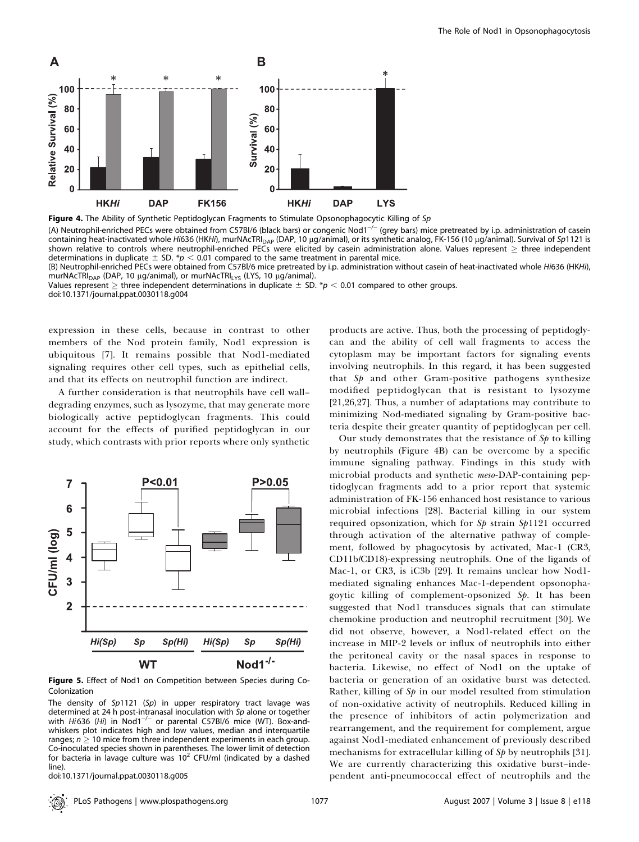

Figure 4. The Ability of Synthetic Peptidoglycan Fragments to Stimulate Opsonophagocytic Killing of Sp

(A) Neutrophil-enriched PECs were obtained from C57BI/6 (black bars) or congenic Nod1<sup>-/-</sup> (grey bars) mice pretreated by i.p. administration of casein containing heat-inactivated whole Hi636 (HKHi), murNAcTRI<sub>DAP</sub> (DAP, 10 µg/animal), or its synthetic analog, FK-156 (10 µg/animal). Survival of Sp1121 is shown relative to controls where neutrophil-enriched PECs were elicited by casein administration alone. Values represent  $\geq$  three independent determinations in duplicate  $\pm$  SD. \*p  $<$  0.01 compared to the same treatment in parental mice.

(B) Neutrophil-enriched PECs were obtained from C57Bl/6 mice pretreated by i.p. administration without casein of heat-inactivated whole Hi636 (HKHi), murNAcTRI<sub>DAP</sub> (DAP, 10 μg/animal), or murNAcTRI<sub>LYS</sub> (LYS, 10 μg/animal).

Values represent  $\geq$  three independent determinations in duplicate  $\pm$  SD. \*p < 0.01 compared to other groups. doi:10.1371/journal.ppat.0030118.g004

expression in these cells, because in contrast to other members of the Nod protein family, Nod1 expression is ubiquitous [7]. It remains possible that Nod1-mediated signaling requires other cell types, such as epithelial cells, and that its effects on neutrophil function are indirect.

A further consideration is that neutrophils have cell wall– degrading enzymes, such as lysozyme, that may generate more biologically active peptidoglycan fragments. This could account for the effects of purified peptidoglycan in our study, which contrasts with prior reports where only synthetic



Figure 5. Effect of Nod1 on Competition between Species during Co-Colonization

The density of  $Sp1121$  (Sp) in upper respiratory tract lavage was determined at 24 h post-intranasal inoculation with Sp alone or together with  $Hi$ 636 ( $Hi$ ) in Nod1<sup>-/-</sup> or parental C57Bl/6 mice (WT). Box-andwhiskers plot indicates high and low values, median and interquartile ranges;  $n \geq 10$  mice from three independent experiments in each group. Co-inoculated species shown in parentheses. The lower limit of detection for bacteria in lavage culture was  $10^2$  CFU/ml (indicated by a dashed line).

doi:10.1371/journal.ppat.0030118.g005

products are active. Thus, both the processing of peptidoglycan and the ability of cell wall fragments to access the cytoplasm may be important factors for signaling events involving neutrophils. In this regard, it has been suggested that  $Sp$  and other Gram-positive pathogens synthesize modified peptidoglycan that is resistant to lysozyme [21,26,27]. Thus, a number of adaptations may contribute to minimizing Nod-mediated signaling by Gram-positive bacteria despite their greater quantity of peptidoglycan per cell.

Our study demonstrates that the resistance of  $Sp$  to killing by neutrophils (Figure 4B) can be overcome by a specific immune signaling pathway. Findings in this study with microbial products and synthetic meso-DAP-containing peptidoglycan fragments add to a prior report that systemic administration of FK-156 enhanced host resistance to various microbial infections [28]. Bacterial killing in our system required opsonization, which for  $Sp$  strain  $Sp1121$  occurred through activation of the alternative pathway of complement, followed by phagocytosis by activated, Mac-1 (CR3, CD11b/CD18)-expressing neutrophils. One of the ligands of Mac-1, or CR3, is iC3b [29]. It remains unclear how Nod1 mediated signaling enhances Mac-1-dependent opsonophagoytic killing of complement-opsonized Sp. It has been suggested that Nod1 transduces signals that can stimulate chemokine production and neutrophil recruitment [30]. We did not observe, however, a Nod1-related effect on the increase in MIP-2 levels or influx of neutrophils into either the peritoneal cavity or the nasal spaces in response to bacteria. Likewise, no effect of Nod1 on the uptake of bacteria or generation of an oxidative burst was detected. Rather, killing of  $S_p$  in our model resulted from stimulation of non-oxidative activity of neutrophils. Reduced killing in the presence of inhibitors of actin polymerization and rearrangement, and the requirement for complement, argue against Nod1-mediated enhancement of previously described mechanisms for extracellular killing of  $S_p$  by neutrophils [31]. We are currently characterizing this oxidative burst–independent anti-pneumococcal effect of neutrophils and the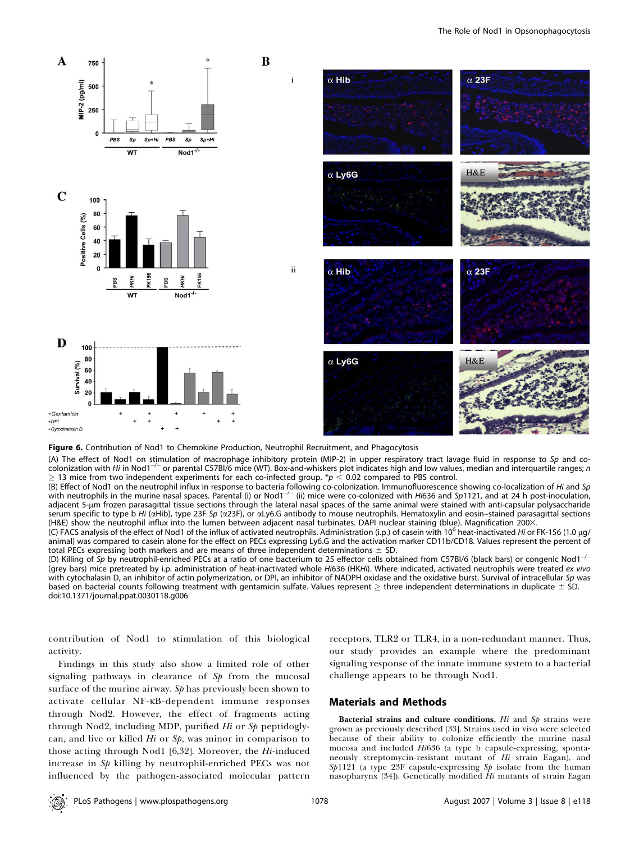



(A) The effect of Nod1 on stimulation of macrophage inhibitory protein (MIP-2) in upper respiratory tract lavage fluid in response to Sp and cocolonization with Hi in Nod1<sup>-/-</sup> or parental C57Bl/6 mice (WT). Box-and-whiskers plot indicates high and low values, median and interquartile ranges; n 13 mice from two independent experiments for each co-infected group. \* $p < 0.02$  compared to PBS control.

(B) Effect of Nod1 on the neutrophil influx in response to bacteria following co-colonization. Immunofluorescence showing co-localization of Hi and Sp with neutrophils in the murine nasal spaces. Parental (i) or Nod1<sup>-/-</sup> (ii) mice were co-colonized with Hi636 and Sp1121, and at 24 h post-inoculation, adjacent 5-µm frozen parasagittal tissue sections through the lateral nasal spaces of the same animal were stained with anti-capsular polysaccharide serum specific to type b Hi (aHib), type 23F Sp (a23F), or aLy6.G antibody to mouse neutrophils. Hematoxylin and eosin-stained parasagittal sections (H&E) show the neutrophil influx into the lumen between adjacent nasal turbinates. DAPI nuclear staining (blue). Magnification 2003.

(C) FACS analysis of the effect of Nod1 of the influx of activated neutrophils. Administration (i.p.) of casein with 10<sup>6</sup> heat-inactivated Hi or FK-156 (1.0 µg/ animal) was compared to casein alone for the effect on PECs expressing Ly6.G and the activation marker CD11b/CD18. Values represent the percent of total PECs expressing both markers and are means of three independent determinations  $\pm$  SD.

(D) Killing of Sp by neutrophil-enriched PECs at a ratio of one bacterium to 25 effector cells obtained from C57Bl/6 (black bars) or congenic Nod1<sup>-/-</sup> (grey bars) mice pretreated by i.p. administration of heat-inactivated whole Hi636 (HKHi). Where indicated, activated neutrophils were treated ex vivo with cytochalasin D, an inhibitor of actin polymerization, or DPI, an inhibitor of NADPH oxidase and the oxidative burst. Survival of intracellular Sp was based on bacterial counts following treatment with gentamicin sulfate. Values represent  $\geq$  three independent determinations in duplicate  $\pm$  SD. doi:10.1371/journal.ppat.0030118.g006

contribution of Nod1 to stimulation of this biological activity.

Findings in this study also show a limited role of other signaling pathways in clearance of  $Sp$  from the mucosal surface of the murine airway. Sp has previously been shown to activate cellular NF-KB-dependent immune responses through Nod2. However, the effect of fragments acting through Nod2, including MDP, purified  $Hi$  or  $Sp$  peptidoglycan, and live or killed  $Hi$  or  $Sp$ , was minor in comparison to those acting through Nod1  $[6,32]$ . Moreover, the Hi-induced increase in Sp killing by neutrophil-enriched PECs was not influenced by the pathogen-associated molecular pattern

receptors, TLR2 or TLR4, in a non-redundant manner. Thus, our study provides an example where the predominant signaling response of the innate immune system to a bacterial challenge appears to be through Nod1.

### Materials and Methods

Bacterial strains and culture conditions.  $Hi$  and  $Sp$  strains were grown as previously described [33]. Strains used in vivo were selected because of their ability to colonize efficiently the murine nasal mucosa and included Hi636 (a type b capsule-expressing, spontaneously streptomycin-resistant mutant of Hi strain Eagan), and Sp1121 (a type 23F capsule-expressing Sp isolate from the human nasopharynx [34]). Genetically modified Hi mutants of strain Eagan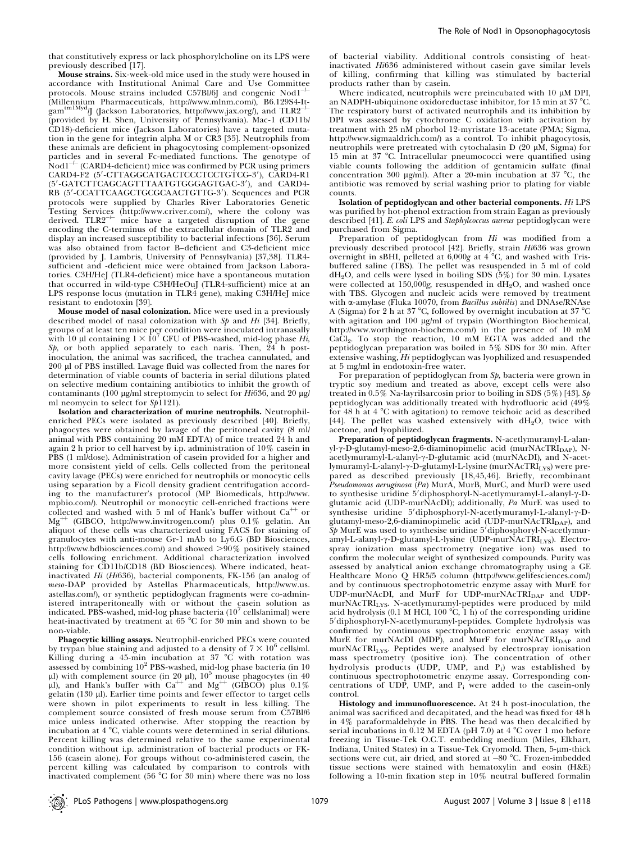that constitutively express or lack phosphorylcholine on its LPS were previously described [17].

Mouse strains. Six-week-old mice used in the study were housed in accordance with Institutional Animal Care and Use Committee protocols. Mouse strains included C57Bl/6J and congenic  $Nod1^{-/-}$ (Millennium Pharmaceuticals, http://www.mlnm.com/), B6.129S4-It-<br>gam<sup>tm1Myd</sup>/J (Jackson Laboratories, http://www.jax.org/), and TLR2<sup>-/-</sup> (provided by H. Shen, University of Pennsylvania). Mac-1 (CD11b/ CD18)-deficient mice (Jackson Laboratories) have a targeted mutation in the gene for integrin alpha M or CR3 [35]. Neutrophils from these animals are deficient in phagocytosing complement-opsonized particles and in several Fc-mediated functions. The genotype of  $N$ od $1^{-}$  (CARD4-deficient) mice was confirmed by PCR using primers CARD4-F2 (5'-CTTAGGCATGACTCCCTCCTGTCG-3'), CARD4-R1 (5'-GATCTTCAGCAGTTTAATGTGGGAGTGAC-3'), and CARD4-RB (5'-CCATTCAAGCTGCGCAACTGTTG-3'). Sequences and PCR protocols were supplied by Charles River Laboratories Genetic Testing Services (http://www.criver.com/), where the colony was derived. TLR2-/- mice have a targeted disruption of the gene encoding the C-terminus of the extracellular domain of TLR2 and display an increased susceptibility to bacterial infections [36]. Serum was also obtained from factor B–deficient and C3-deficient mice (provided by J. Lambris, University of Pennsylvania) [37,38]. TLR4 sufficient and -deficient mice were obtained from Jackson Laboratories. C3H/HeJ (TLR4-deficient) mice have a spontaneous mutation that occurred in wild-type C3H/HeOuJ (TLR4-sufficient) mice at an LPS response locus (mutation in TLR4 gene), making C3H/HeJ mice resistant to endotoxin [39].

Mouse model of nasal colonization. Mice were used in a previously described model of nasal colonization with  $Sp$  and  $Hi$  [34]. Briefly, groups of at least ten mice per condition were inoculated intranasally with 10 µl containing  $1 \times 10^7$  CFU of PBS-washed, mid-log phase Hi,  $S_p$ , or both applied separately to each naris. Then,  $24$  h postinoculation, the animal was sacrificed, the trachea cannulated, and 200 ll of PBS instilled. Lavage fluid was collected from the nares for determination of viable counts of bacteria in serial dilutions plated on selective medium containing antibiotics to inhibit the growth of contaminants (100  $\mu$ g/ml streptomycin to select for Hi636, and 20  $\mu$ g/ ml neomycin to select for Sp1121).

Isolation and characterization of murine neutrophils. Neutrophilenriched PECs were isolated as previously described [40]. Briefly, phagocytes were obtained by lavage of the peritoneal cavity (8 ml/ animal with PBS containing 20 mM EDTA) of mice treated 24 h and again 2 h prior to cell harvest by i.p. administration of 10% casein in PBS (1 ml/dose). Administration of casein provided for a higher and more consistent yield of cells. Cells collected from the peritoneal cavity lavage (PECs) were enriched for neutrophils or monocytic cells using separation by a Ficoll density gradient centrifugation according to the manufacturer's protocol (MP Biomedicals, http://www. mpbio.com/). Neutrophil or monocytic cell-enriched fractions were collected and washed with 5 ml of Hank's buffer without  $Ca^{++}$  or  $Mg^{++}$  (GIBCO, http://www.invitrogen.com/) plus 0.1% gelatin. An (GIBCO, http://www.invitrogen.com/) plus 0.1% gelatin. An aliquot of these cells was characterized using FACS for staining of granulocytes with anti-mouse Gr-1 mAb to Ly6.G (BD Biosciences, http://www.bdbiosciences.com/) and showed >90% positively stained cells following enrichment. Additional characterization involved staining for CD11b/CD18 (BD Biosciences). Where indicated, heatinactivated Hi (Hi636), bacterial components, FK-156 (an analog of meso-DAP provided by Astellas Pharmaceuticals, http://www.us. astellas.com/), or synthetic peptidoglycan fragments were co-administered intraperitoneally with or without the casein solution as indicated. PBS-washed, mid-log phase bacteria  $(10^7 \text{ cells/animal})$  were heat-inactivated by treatment at 65 °C for 30 min and shown to be non-viable.

Phagocytic killing assays. Neutrophil-enriched PECs were counted by trypan blue staining and adjusted to a density of  $7 \times 10^6$  cells/ml. Killing during a 45-min incubation at 37 °C with rotation was assessed by combining  $10^2$  PBS-washed, mid-log phase bacteria (in 10  $\mu$ l) with complement source (in 20  $\mu$ l),  $10^5$  mouse phagocytes (in 40  $\mu$ l), and Hank's buffer with Ca<sup>++</sup> and Mg<sup>++</sup> (GIBCO) plus 0.1% gelatin (130 µl). Earlier time points and fewer effector to target cells were shown in pilot experiments to result in less killing. The complement source consisted of fresh mouse serum from C57Bl/6 mice unless indicated otherwise. After stopping the reaction by incubation at  $4^{\circ}$ C, viable counts were determined in serial dilutions. Percent killing was determined relative to the same experimental condition without i.p. administration of bacterial products or FK-156 (casein alone). For groups without co-administered casein, the percent killing was calculated by comparison to controls with inactivated complement (56  $^{\circ}$ C for 30 min) where there was no loss

of bacterial viability. Additional controls consisting of heatinactivated Hi636 administered without casein gave similar levels of killing, confirming that killing was stimulated by bacterial products rather than by casein.

Where indicated, neutrophils were preincubated with  $10 \mu M$  DPI, an NADPH-ubiquinone oxidoreductase inhibitor, for 15 min at 37  $^{\circ}$ C. The respiratory burst of activated neutrophils and its inhibition by DPI was assessed by cytochrome C oxidation with activation by treatment with 25 nM phorbol 12-myristate 13-acetate (PMA; Sigma, http://www.sigmaaldrich.com/) as a control. To inhibit phagocytosis, neutrophils were pretreated with cytochalasin  $D$  (20  $\mu$ M, Sigma) for 15 min at 37 °C. Intracellular pneumococci were quantified using viable counts following the addition of gentamicin sulfate (final concentration 300  $\mu$ g/ml). After a 20-min incubation at 37 °C, the antibiotic was removed by serial washing prior to plating for viable counts.

Isolation of peptidoglycan and other bacterial components. Hi LPS was purified by hot-phenol extraction from strain Eagan as previously described [41]. E. coli LPS and Staphylcoccus aureus peptidoglycan were purchased from Sigma.

Preparation of peptidoglycan from  $Hi$  was modified from a previously described protocol [42]. Briefly, strain Hi636 was grown overnight in sBHI, pelleted at  $6,000g$  at  $4 °C$ , and washed with Trisbuffered saline (TBS). The pellet was resuspended in 5 ml of cold  $dH_2O$ , and cells were lysed in boiling SDS (5%) for 30 min. Lysates were collected at 150,000g, resuspended in  $dH_2O$ , and washed once with TBS. Glycogen and nucleic acids were removed by treatment with  $\alpha$ -amylase (Fluka 10070, from Bacillus subtilis) and DNAse/RNAse A (Sigma) for 2 h at 37 °C, followed by overnight incubation at 37 °C with agitation and 100 µg/ml of trypsin (Worthington Biochemical, http://www.worthington-biochem.com/) in the presence of 10 mM CaCl2. To stop the reaction, 10 mM EGTA was added and the peptidoglycan preparation was boiled in 5% SDS for 30 min. After extensive washing, Hi peptidoglycan was lyophilized and resuspended at 5 mg/ml in endotoxin-free water.

For preparation of peptidoglycan from Sp, bacteria were grown in tryptic soy medium and treated as above, except cells were also treated in 0.5% Na-layrilsarcosin prior to boiling in SDS (5%) [43]. Sp peptidoglycan was additionally treated with hydrofluoric acid (49% for 48 h at  $4^{\circ}$ C with agitation) to remove teichoic acid as described [44]. The pellet was washed extensively with  $dH_2O$ , twice with acetone, and lyophilized.

Preparation of peptidoglycan fragments. N-acetlymuramyl-L-alanyl-y-D-glutamyl-meso-2,6-diaminopimelic acid (murNAcTRI<sub>DAP</sub>), Nacetlymuramyl-L-alanyl-y-D-glutamic acid (murNAcDI), and N-acetlymuramyl-L-alanyl-y-D-glutamyl-L-lysine (murNAcTRILYS) were prepared as described previously [18,45,46]. Briefly, recombinant  $P$ seudomonas aeruginosa  $(Pa)$  MurA, MurB, MurC, and MurD were used to synthesise uridine  $5'$ diphosphoryl-N-acetlymuramyl-L-alanyl- $\gamma$ -Dglutamic acid (UDP-murNAcDI); additionally, Pa MurE was used to synthesise uridine 5'diphosphoryl-N-acetlymuramyl-L-alanyl- $\gamma$ -Dglutamyl-meso-2,6-diaminopimelic acid (UDP-murNAcTRI $_{\text{DAP}}$ ), and  $\widetilde{\mathcal{S}}\phi$  MurE was used to synthesise uridine 5'diphosphoryl-N-acetlymuramyl-L-alanyl- $\gamma$ -D-glutamyl-L-lysine (UDP-murNAcTRI<sub>LYS</sub>). Electrospray ionization mass spectrometry (negative ion) was used to confirm the molecular weight of synthesized compounds. Purity was assessed by analytical anion exchange chromatography using a GE Healthcare Mono Q HR5/5 column (http://www.gelifesciences.com/) and by continuous spectrophotometric enzyme assay with MurE for UDP-murNAcDI, and MurF for UDP-murNAcTRI $_{\text{DAP}}$  and UDPmurNAcTRILYS. N-acetlymuramyl-peptides were produced by mild acid hydrolysis (0.1 M HCl, 100  $\textdegree$ C, 1 h) of the corresponding uridine 5'diphosphoryl-N-acetlymuramyl-peptides. Complete hydrolysis was confirmed by continuous spectrophotometric enzyme assay with MurE for murNAcDI (MDP), and MurF for murNAcTRI $_{\text{DAP}}$  and murNAcTRILYS. Peptides were analysed by electrospray ionisation mass spectrometry (positive ion). The concentration of other hydrolysis products (UDP, UMP, and Pi) was established by continuous spectrophotometric enzyme assay. Corresponding concentrations of UDP, UMP, and  $P_i$  were added to the casein-only control.

Histology and immunofluorescence. At 24 h post-inoculation, the animal was sacrificed and decapitated, and the head was fixed for 48 h in  $4\%$  paraformaldehyde in PBS. The head was then decalcified by serial incubations in 0.12 M EDTA (pH 7.0) at 4  $^{\circ}\textrm{C}$  over 1 mo before freezing in Tissue-Tek O.C.T. embedding medium (Miles, Elkhart, Indiana, United States) in a Tissue-Tek Cryomold. Then, 5-µm-thick sections were cut, air dried, and stored at -80 °C. Frozen-imbedded tissue sections were stained with hematoxylin and eosin (H&E) following a 10-min fixation step in 10% neutral buffered formalin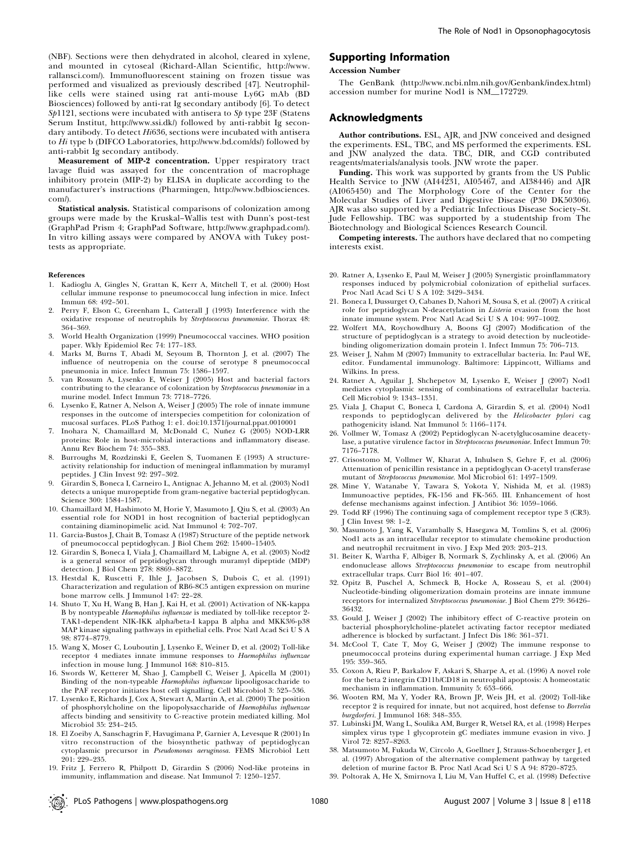(NBF). Sections were then dehydrated in alcohol, cleared in xylene, and mounted in cytoseal (Richard-Allan Scientific, http://www. rallansci.com/). Immunofluorescent staining on frozen tissue was performed and visualized as previously described [47]. Neutrophillike cells were stained using rat anti-mouse Ly6G mAb (BD Biosciences) followed by anti-rat Ig secondary antibody [6]. To detect  $Sp1121$ , sections were incubated with antisera to  $Sp$  type  $23F$  (Statens Serum Institut, http://www.ssi.dk/) followed by anti-rabbit Ig secondary antibody. To detect Hi636, sections were incubated with antisera to Hi type b (DIFCO Laboratories, http://www.bd.com/ds/) followed by anti-rabbit Ig secondary antibody.

Measurement of MIP-2 concentration. Upper respiratory tract lavage fluid was assayed for the concentration of macrophage inhibitory protein (MIP-2) by ELISA in duplicate according to the manufacturer's instructions (Pharmingen, http://www.bdbiosciences. com/).

Statistical analysis. Statistical comparisons of colonization among groups were made by the Kruskal–Wallis test with Dunn's post-test (GraphPad Prism 4; GraphPad Software, http://www.graphpad.com/). In vitro killing assays were compared by ANOVA with Tukey posttests as appropriate.

#### References

- 1. Kadioglu A, Gingles N, Grattan K, Kerr A, Mitchell T, et al. (2000) Host cellular immune response to pneumococcal lung infection in mice. Infect Immun 68: 492–501.
- 2. Perry F, Elson C, Greenham L, Catterall J (1993) Interference with the oxidative response of neutrophils by Streptococcus pneumoniae. Thorax 48: 364–369.
- 3. World Health Organization (1999) Pneumococcal vaccines. WHO position paper. Wkly Epidemiol Rec 74: 177–183.
- 4. Marks M, Burns T, Abadi M, Seyoum B, Thornton J, et al. (2007) The influence of neutropenia on the course of serotype 8 pneumococcal pneumonia in mice. Infect Immun 75: 1586–1597.
- 5. van Rossum A, Lysenko E, Weiser J (2005) Host and bacterial factors contributing to the clearance of colonization by Streptococcus pneumoniae in a murine model. Infect Immun 73: 7718–7726.
- 6. Lysenko E, Ratner A, Nelson A, Weiser J (2005) The role of innate immune responses in the outcome of interspecies competition for colonization of mucosal surfaces. PLoS Pathog 1: e1. doi:10.1371/journal.ppat.0010001
- Inohara N, Chamaillard M, McDonald C, Nunez G (2005) NOD-LRR proteins: Role in host-microbial interactions and inflammatory disease. Annu Rev Biochem 74: 355–383.
- 8. Burroughs M, Rozdzinski E, Geelen S, Tuomanen E (1993) A structureactivity relationship for induction of meningeal inflammation by muramyl peptides. J Clin Invest 92: 297–302.
- 9. Girardin S, Boneca I, Carneiro L, Antignac A, Jehanno M, et al. (2003) Nod1 detects a unique muropeptide from gram-negative bacterial peptidoglycan. Science 300: 1584–1587.
- 10. Chamaillard M, Hashimoto M, Horie Y, Masumoto J, Qiu S, et al. (2003) An essential role for NOD1 in host recognition of bacterial peptidoglycan containing diaminopimelic acid. Nat Immunol 4: 702–707.
- 11. Garcia-Bustos J, Chait B, Tomasz A (1987) Structure of the peptide network of pneumococcal peptidoglycan. J Biol Chem 262: 15400–15405.
- 12. Girardin S, Boneca I, Viala J, Chamaillard M, Labigne A, et al. (2003) Nod2 is a general sensor of peptidoglycan through muramyl dipeptide (MDP) detection. J Biol Chem 278: 8869–8872.
- 13. Hestdal K, Ruscetti F, Ihle J, Jacobsen S, Dubois C, et al. (1991) Characterization and regulation of RB6-8C5 antigen expression on murine bone marrow cells. J Immunol 147: 22-28.
- 14. Shuto T, Xu H, Wang B, Han J, Kai H, et al. (2001) Activation of NK-kappa B by nontypeable Haemophilus influenzae is mediated by toll-like receptor 2- TAK1-dependent NIK-IKK alpha/beta-I kappa B alpha and MKK3/6-p38 MAP kinase signaling pathways in epithelial cells. Proc Natl Acad Sci U S A 98: 8774–8779.
- 15. Wang X, Moser C, Louboutin J, Lysenko E, Weiner D, et al. (2002) Toll-like receptor 4 mediates innate immune responses to Haemophilus influenzae infection in mouse lung. J Immunol 168: 810–815.
- 16. Swords W, Ketterer M, Shao J, Campbell C, Weiser J, Apicella M (2001) Binding of the non-typeable Haemophilus influenzae lipooligosaccharide to the PAF receptor initiates host cell signalling. Cell Microbiol 3: 525–536.
- 17. Lysenko E, Richards J, Cox A, Stewart A, Martin A, et al. (2000) The position of phosphorylcholine on the lipopolysaccharide of Haemophilus influenzae affects binding and sensitivity to C-reactive protein mediated killing. Mol Microbiol 35: 234–245.
- 18. El Zoeiby A, Sanschagrin F, Havugimana P, Garnier A, Levesque R (2001) In vitro reconstruction of the biosynthetic pathway of peptidoglycan cytoplasmic precursor in Pseudomonas aeruginosa. FEMS Microbiol Lett 201: 229–235.
- 19. Fritz J, Ferrero R, Philpott D, Girardin S (2006) Nod-like proteins in immunity, inflammation and disease. Nat Immunol 7: 1250–1257.

#### Supporting Information

#### Accession Number

The GenBank (http://www.ncbi.nlm.nih.gov/Genbank/index.html) accession number for murine Nod1 is NM\_172729.

#### Acknowledgments

Author contributions. ESL, AJR, and JNW conceived and designed the experiments. ESL, TBC, and MS performed the experiments. ESL and JNW analyzed the data. TBC, DIR, and CGD contributed reagents/materials/analysis tools. JNW wrote the paper.

Funding. This work was supported by grants from the US Public Health Service to JNW (AI44231, AI05467, and AI38446) and AJR (AI065450) and The Morphology Core of the Center for the Molecular Studies of Liver and Digestive Disease (P30 DK50306). AJR was also supported by a Pediatric Infectious Disease Society–St. Jude Fellowship. TBC was supported by a studentship from The Biotechnology and Biological Sciences Research Council.

Competing interests. The authors have declared that no competing interests exist.

- 20. Ratner A, Lysenko E, Paul M, Weiser J (2005) Synergistic proinflammatory responses induced by polymicrobial colonization of epithelial surfaces. Proc Natl Acad Sci U S A 102: 3429–3434.
- 21. Boneca I, Dussurget O, Cabanes D, Nahori M, Sousa S, et al. (2007) A critical role for peptidoglycan N-deacetylation in Listeria evasion from the host innate immune system. Proc Natl Acad Sci U S A 104: 997–1002.
- 22. Wolfert MA, Roychowdhury A, Boons GJ (2007) Modification of the structure of peptidoglycan is a strategy to avoid detection by nucleotidebinding oligomerization domain protein 1. Infect Immun 75: 706–713.
- 23. Weiser J, Nahm M (2007) Immunity to extracellular bacteria. In: Paul WE, editor. Fundamental immunology. Baltimore: Lippincott, Williams and Wilkins. In press.
- 24. Ratner A, Aguilar J, Shchepetov M, Lysenko E, Weiser J (2007) Nod1 mediates cytoplasmic sensing of combinations of extracellular bacteria. Cell Microbiol 9: 1343–1351.
- 25. Viala J, Chaput C, Boneca I, Cardona A, Girardin S, et al. (2004) Nod1 responds to peptidoglycan delivered by the Helicobacter pylori cag pathogenicity island. Nat Immunol 5: 1166–1174.
- 26. Vollmer W, Tomasz A (2002) Peptidoglycan N-acetylglucosamine deacetylase, a putative virulence factor in Streptococcus pneumoniae. Infect Immun 70: 7176–7178.
- 27. Crisostomo M, Vollmer W, Kharat A, Inhulsen S, Gehre F, et al. (2006) Attenuation of penicillin resistance in a peptidoglycan O-acetyl transferase mutant of Streptococcus pneumoniae. Mol Microbiol 61: 1497-1509.
- 28. Mine Y, Watanabe Y, Tawara S, Yokota Y, Nishida M, et al. (1983) Immunoactive peptides, FK-156 and FK-565. III. Enhancement of host defense mechanisms against infection. J Antibiot 36: 1059–1066.
- 29. Todd RF (1996) The continuing saga of complement receptor type 3 (CR3). J Clin Invest 98: 1–2.
- 30. Masumoto J, Yang K, Varambally S, Hasegawa M, Tomlins S, et al. (2006) Nod1 acts as an intracellular receptor to stimulate chemokine production and neutrophil recruitment in vivo. J Exp Med 203: 203–213.
- 31. Beiter K, Wartha F, Albiger B, Normark S, Zychlinsky A, et al. (2006) An endonuclease allows Streptococcus pneumoniae to escape from neutrophil extracellular traps. Curr Biol 16: 401–407.
- 32. Opitz B, Puschel A, Schmeck B, Hocke A, Rosseau S, et al. (2004) Nucleotide-binding oligomerization domain proteins are innate immune receptors for internalized Streptococcus pneumoniae. J Biol Chem 279: 36426– 36432.
- 33. Gould J, Weiser J (2002) The inhibitory effect of C-reactive protein on bacterial phosphorylcholine-platelet activating factor receptor mediated adherence is blocked by surfactant. J Infect Dis 186: 361–371.
- 34. McCool T, Cate T, Moy G, Weiser J (2002) The immune response to pneumococcal proteins during experimental human carriage. J Exp Med 195: 359–365.
- 35. Coxon A, Rieu P, Barkalow F, Askari S, Sharpe A, et al. (1996) A novel role for the beta 2 integrin CD11b/CD18 in neutrophil apoptosis: A homeostatic mechanism in inflammation. Immunity 5: 653–666.
- 36. Wooten RM, Ma Y, Yoder RA, Brown JP, Weis JH, et al. (2002) Toll-like receptor 2 is required for innate, but not acquired, host defense to Borrelia burgdorferi. J Immunol 168: 348–355.
- 37. Lubinski JM, Wang L, Soulika AM, Burger R, Wetsel RA, et al. (1998) Herpes simplex virus type 1 glycoprotein gC mediates immune evasion in vivo. J Virol 72: 8257–8263.
- 38. Matsumoto M, Fukuda W, Circolo A, Goellner J, Strauss-Schoenberger J, et al. (1997) Abrogation of the alternative complement pathway by targeted deletion of murine factor B. Proc Natl Acad Sci U S A 94: 8720–8725.
- 39. Poltorak A, He X, Smirnova I, Liu M, Van Huffel C, et al. (1998) Defective